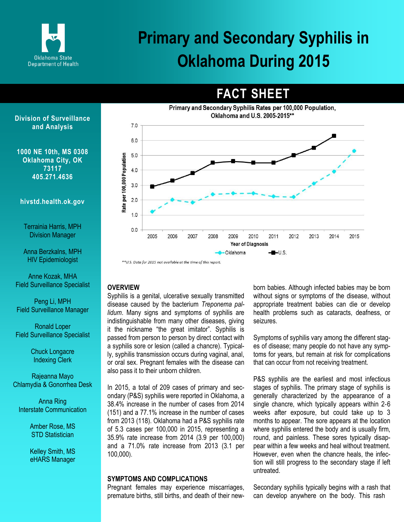

**FACT SHEET**



#### **Division of Surveillance and Analysis**

**1000 NE 10th, MS 0308 Oklahoma City, OK 73117 405.271.4636**

### **hivstd.health.ok.gov**

Terrainia Harris, MPH Division Manager

Anna Berzkalns, MPH HIV Epidemiologist

Anne Kozak, MHA Field Surveillance Specialist

Peng Li, MPH Field Surveillance Manager

Ronald Loper Field Surveillance Specialist

> Chuck Longacre Indexing Clerk

Rajeanna Mayo Chlamydia & Gonorrhea Desk

Anna Ring Interstate Communication

> Amber Rose, MS STD Statistician

> Kelley Smith, MS eHARS Manager

**OVERVIEW**

Syphilis is a genital, ulcerative sexually transmitted disease caused by the bacterium *Treponema pallidum*. Many signs and symptoms of syphilis are indistinguishable from many other diseases, giving it the nickname "the great imitator". Syphilis is passed from person to person by direct contact with a syphilis sore or lesion (called a chancre). Typically, syphilis transmission occurs during vaginal, anal, or oral sex. Pregnant females with the disease can also pass it to their unborn children.

In 2015, a total of 209 cases of primary and secondary (P&S) syphilis were reported in Oklahoma, a 38.4% increase in the number of cases from 2014 (151) and a 77.1% increase in the number of cases from 2013 (118). Oklahoma had a P&S syphilis rate of 5.3 cases per 100,000 in 2015, representing a 35.9% rate increase from 2014 (3.9 per 100,000) and a 71.0% rate increase from 2013 (3.1 per 100,000).

#### **SYMPTOMS AND COMPLICATIONS**

Pregnant females may experience miscarriages, premature births, still births, and death of their newborn babies. Although infected babies may be born without signs or symptoms of the disease, without appropriate treatment babies can die or develop health problems such as cataracts, deafness, or seizures.

Symptoms of syphilis vary among the different stages of disease; many people do not have any symptoms for years, but remain at risk for complications that can occur from not receiving treatment.

P&S syphilis are the earliest and most infectious stages of syphilis. The primary stage of syphilis is generally characterized by the appearance of a single chancre, which typically appears within 2‐6 weeks after exposure, but could take up to 3 months to appear. The sore appears at the location where syphilis entered the body and is usually firm, round, and painless. These sores typically disappear within a few weeks and heal without treatment. However, even when the chancre heals, the infection will still progress to the secondary stage if left untreated.

Secondary syphilis typically begins with a rash that can develop anywhere on the body. This rash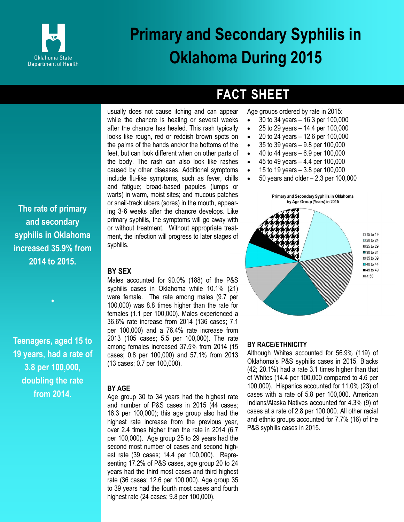

### **FACT SHEET**

Age groups ordered by rate in 2015: 30 to 34 years – 16.3 per 100,000

- $\bullet$  25 to 29 years  $-$  14.4 per 100,000
- $\bullet$  20 to 24 years  $-$  12.6 per 100,000
- $\bullet$  35 to 39 years  $-9.8$  per 100,000
- $\bullet$  40 to 44 years 6.9 per 100,000
- $\bullet$  45 to 49 years  $-4.4$  per 100,000
- $\bullet$  15 to 19 years  $-3.8$  per 100,000
- $\bullet$  50 years and older  $-2.3$  per 100,000



**•**

**Teenagers, aged 15 to 19 years, had a rate of 3.8 per 100,000, doubling the rate from 2014.**

while the chancre is healing or several weeks after the chancre has healed. This rash typically looks like rough, red or reddish brown spots on the palms of the hands and/or the bottoms of the feet, but can look different when on other parts of the body. The rash can also look like rashes caused by other diseases. Additional symptoms include flu-like symptoms, such as fever, chills and fatigue; broad‐based papules (lumps or warts) in warm, moist sites; and mucous patches or snail‐track ulcers (sores) in the mouth, appearing 3‐6 weeks after the chancre develops. Like primary syphilis, the symptoms will go away with or without treatment. Without appropriate treatment, the infection will progress to later stages of syphilis.

usually does not cause itching and can appear

#### **BY SEX**

Males accounted for 90.0% (188) of the P&S syphilis cases in Oklahoma while 10.1% (21) were female. The rate among males (9.7 per 100,000) was 8.8 times higher than the rate for females (1.1 per 100,000). Males experienced a 36.6% rate increase from 2014 (136 cases; 7.1 per 100,000) and a 76.4% rate increase from 2013 (105 cases; 5.5 per 100,000). The rate among females increased 37.5% from 2014 (15 cases; 0.8 per 100,000) and 57.1% from 2013 (13 cases; 0.7 per 100,000).

#### **BY AGE**

Age group 30 to 34 years had the highest rate and number of P&S cases in 2015 (44 cases; 16.3 per 100,000); this age group also had the highest rate increase from the previous year, over 2.4 times higher than the rate in 2014 (6.7 per 100,000). Age group 25 to 29 years had the second most number of cases and second highest rate (39 cases; 14.4 per 100,000). Representing 17.2% of P&S cases, age group 20 to 24 years had the third most cases and third highest rate (36 cases; 12.6 per 100,000). Age group 35 to 39 years had the fourth most cases and fourth highest rate (24 cases; 9.8 per 100,000).





#### **BY RACE/ETHNICITY**

Although Whites accounted for 56.9% (119) of Oklahoma's P&S syphilis cases in 2015, Blacks (42; 20.1%) had a rate 3.1 times higher than that of Whites (14.4 per 100,000 compared to 4.6 per 100,000). Hispanics accounted for 11.0% (23) of cases with a rate of 5.8 per 100,000. American Indians/Alaska Natives accounted for 4.3% (9) of cases at a rate of 2.8 per 100,000. All other racial and ethnic groups accounted for 7.7% (16) of the P&S syphilis cases in 2015.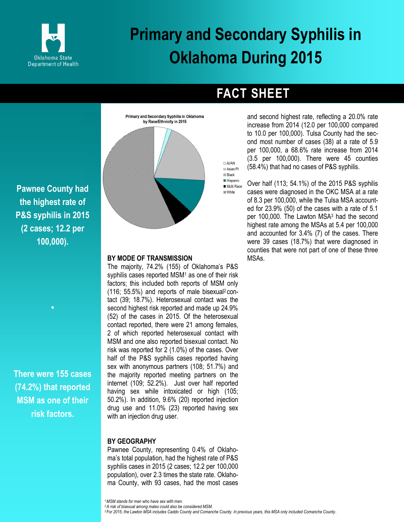



**Pawnee County had the highest rate of P&S syphilis in 2015 (2 cases; 12.2 per 100,000).**

**There were 155 cases (74.2%) that reported MSM as one of their risk factors.**

**•**

#### **BY MODE OF TRANSMISSION**

The majority, 74.2% (155) of Oklahoma's P&S syphilis cases reported MSM<sup>1</sup> as one of their risk factors; this included both reports of MSM only (116; 55.5%) and reports of male bisexual2 contact (39; 18.7%). Heterosexual contact was the second highest risk reported and made up 24.9% (52) of the cases in 2015. Of the heterosexual contact reported, there were 21 among females, 2 of which reported heterosexual contact with MSM and one also reported bisexual contact. No risk was reported for 2 (1.0%) of the cases. Over half of the P&S syphilis cases reported having sex with anonymous partners (108; 51.7%) and the majority reported meeting partners on the internet (109; 52.2%). Just over half reported having sex while intoxicated or high (105; 50.2%). In addition, 9.6% (20) reported injection drug use and 11.0% (23) reported having sex with an injection drug user.

#### **BY GEOGRAPHY**

Pawnee County, representing 0.4% of Oklahoma's total population, had the highest rate of P&S syphilis cases in 2015 (2 cases; 12.2 per 100,000 population), over 2.3 times the state rate. Oklahoma County, with 93 cases, had the most cases

**FACT SHEET**

and second highest rate, reflecting a 20.0% rate increase from 2014 (12.0 per 100,000 compared to 10.0 per 100,000). Tulsa County had the second most number of cases (38) at a rate of 5.9 per 100,000, a 68.6% rate increase from 2014 (3.5 per 100,000). There were 45 counties (58.4%) that had no cases of P&S syphilis.

Over half (113; 54.1%) of the 2015 P&S syphilis Multi Race cases were diagnosed in the OKC MSA at a rate of 8.3 per 100,000, while the Tulsa MSA accounted for 23.9% (50) of the cases with a rate of 5.1 per 100,000. The Lawton MSA<sup>3</sup> had the second highest rate among the MSAs at 5.4 per 100,000 and accounted for 3.4% (7) of the cases. There were 39 cases (18.7%) that were diagnosed in counties that were not part of one of these three MSAs.

*<sup>1</sup>MSM stands for men who have sex with men.* 

*<sup>2</sup>A risk of bisexual among males could also be considered MSM.*

*3 For 2015, the Lawton MSA includes Caddo County and Comanche County. In previous years, this MSA only included Comanche County.*